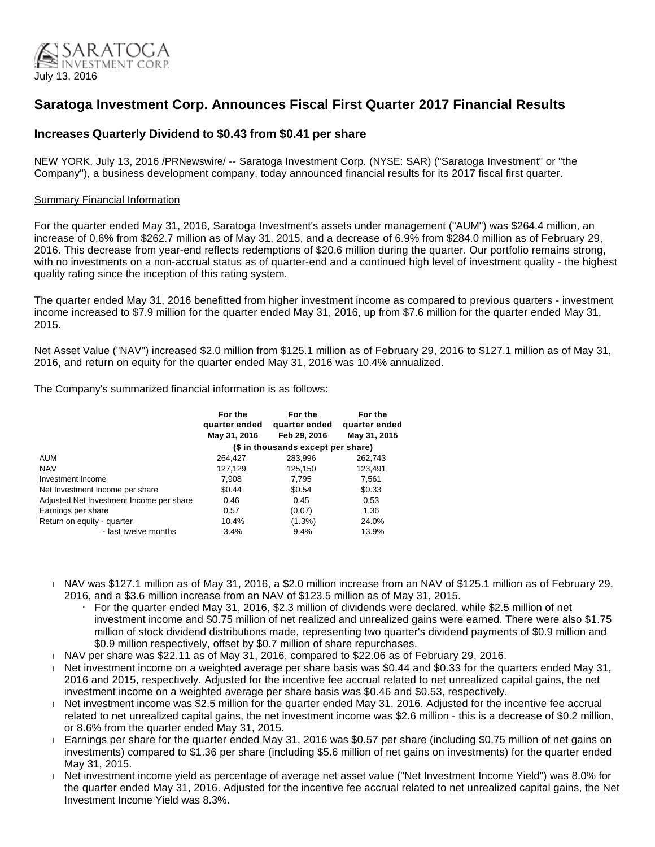

# **Saratoga Investment Corp. Announces Fiscal First Quarter 2017 Financial Results**

# **Increases Quarterly Dividend to \$0.43 from \$0.41 per share**

NEW YORK, July 13, 2016 /PRNewswire/ -- Saratoga Investment Corp. (NYSE: SAR) ("Saratoga Investment" or "the Company"), a business development company, today announced financial results for its 2017 fiscal first quarter.

# Summary Financial Information

For the quarter ended May 31, 2016, Saratoga Investment's assets under management ("AUM") was \$264.4 million, an increase of 0.6% from \$262.7 million as of May 31, 2015, and a decrease of 6.9% from \$284.0 million as of February 29, 2016. This decrease from year-end reflects redemptions of \$20.6 million during the quarter. Our portfolio remains strong, with no investments on a non-accrual status as of quarter-end and a continued high level of investment quality - the highest quality rating since the inception of this rating system.

The quarter ended May 31, 2016 benefitted from higher investment income as compared to previous quarters - investment income increased to \$7.9 million for the quarter ended May 31, 2016, up from \$7.6 million for the quarter ended May 31, 2015.

Net Asset Value ("NAV") increased \$2.0 million from \$125.1 million as of February 29, 2016 to \$127.1 million as of May 31, 2016, and return on equity for the quarter ended May 31, 2016 was 10.4% annualized.

The Company's summarized financial information is as follows:

|                                          | For the<br>quarter ended           | For the<br>quarter ended | For the<br>quarter ended |  |  |
|------------------------------------------|------------------------------------|--------------------------|--------------------------|--|--|
|                                          | May 31, 2016                       | Feb 29, 2016             | May 31, 2015             |  |  |
|                                          | (\$ in thousands except per share) |                          |                          |  |  |
| <b>AUM</b>                               | 264,427                            | 283,996                  | 262,743                  |  |  |
| <b>NAV</b>                               | 127,129                            | 125,150                  | 123,491                  |  |  |
| Investment Income                        | 7.908                              | 7.795                    | 7,561                    |  |  |
| Net Investment Income per share          | \$0.44                             | \$0.54                   | \$0.33                   |  |  |
| Adjusted Net Investment Income per share | 0.46                               | 0.45                     | 0.53                     |  |  |
| Earnings per share                       | 0.57                               | (0.07)                   | 1.36                     |  |  |
| Return on equity - quarter               | 10.4%                              | $(1.3\%)$                | 24.0%                    |  |  |
| - last twelve months                     | 3.4%                               | 9.4%                     | 13.9%                    |  |  |

 NAV was \$127.1 million as of May 31, 2016, a \$2.0 million increase from an NAV of \$125.1 million as of February 29, 2016, and a \$3.6 million increase from an NAV of \$123.5 million as of May 31, 2015.

- » For the quarter ended May 31, 2016, \$2.3 million of dividends were declared, while \$2.5 million of net investment income and \$0.75 million of net realized and unrealized gains were earned. There were also \$1.75 million of stock dividend distributions made, representing two quarter's dividend payments of \$0.9 million and \$0.9 million respectively, offset by \$0.7 million of share repurchases.
- $N_A$  NAV per share was \$22.11 as of May 31, 2016, compared to \$22.06 as of February 29, 2016.
- Net investment income on a weighted average per share basis was \$0.44 and \$0.33 for the quarters ended May 31, 2016 and 2015, respectively. Adjusted for the incentive fee accrual related to net unrealized capital gains, the net investment income on a weighted average per share basis was \$0.46 and \$0.53, respectively.
- Net investment income was \$2.5 million for the quarter ended May 31, 2016. Adjusted for the incentive fee accrual related to net unrealized capital gains, the net investment income was \$2.6 million - this is a decrease of \$0.2 million, or 8.6% from the quarter ended May 31, 2015.
- Earnings per share for the quarter ended May 31, 2016 was \$0.57 per share (including \$0.75 million of net gains on investments) compared to \$1.36 per share (including \$5.6 million of net gains on investments) for the quarter ended May 31, 2015.
- Net investment income yield as percentage of average net asset value ("Net Investment Income Yield") was 8.0% for the quarter ended May 31, 2016. Adjusted for the incentive fee accrual related to net unrealized capital gains, the Net Investment Income Yield was 8.3%.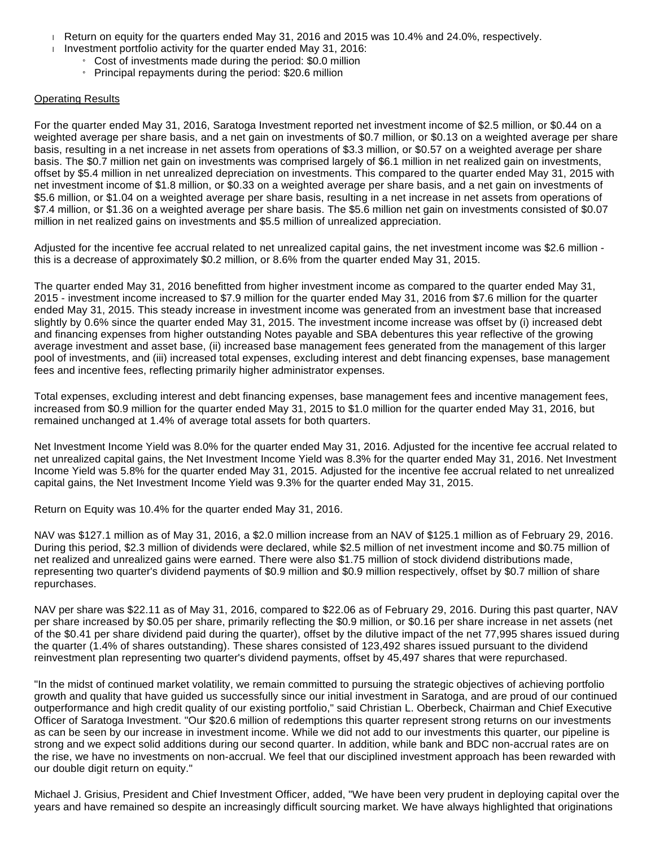- Return on equity for the quarters ended May 31, 2016 and 2015 was 10.4% and 24.0%, respectively.
- Investment portfolio activity for the quarter ended May 31, 2016:
	- » Cost of investments made during the period: \$0.0 million
	- » Principal repayments during the period: \$20.6 million

### Operating Results

For the quarter ended May 31, 2016, Saratoga Investment reported net investment income of \$2.5 million, or \$0.44 on a weighted average per share basis, and a net gain on investments of \$0.7 million, or \$0.13 on a weighted average per share basis, resulting in a net increase in net assets from operations of \$3.3 million, or \$0.57 on a weighted average per share basis. The \$0.7 million net gain on investments was comprised largely of \$6.1 million in net realized gain on investments, offset by \$5.4 million in net unrealized depreciation on investments. This compared to the quarter ended May 31, 2015 with net investment income of \$1.8 million, or \$0.33 on a weighted average per share basis, and a net gain on investments of \$5.6 million, or \$1.04 on a weighted average per share basis, resulting in a net increase in net assets from operations of \$7.4 million, or \$1.36 on a weighted average per share basis. The \$5.6 million net gain on investments consisted of \$0.07 million in net realized gains on investments and \$5.5 million of unrealized appreciation.

Adjusted for the incentive fee accrual related to net unrealized capital gains, the net investment income was \$2.6 million this is a decrease of approximately \$0.2 million, or 8.6% from the quarter ended May 31, 2015.

The quarter ended May 31, 2016 benefitted from higher investment income as compared to the quarter ended May 31, 2015 - investment income increased to \$7.9 million for the quarter ended May 31, 2016 from \$7.6 million for the quarter ended May 31, 2015. This steady increase in investment income was generated from an investment base that increased slightly by 0.6% since the quarter ended May 31, 2015. The investment income increase was offset by (i) increased debt and financing expenses from higher outstanding Notes payable and SBA debentures this year reflective of the growing average investment and asset base, (ii) increased base management fees generated from the management of this larger pool of investments, and (iii) increased total expenses, excluding interest and debt financing expenses, base management fees and incentive fees, reflecting primarily higher administrator expenses.

Total expenses, excluding interest and debt financing expenses, base management fees and incentive management fees, increased from \$0.9 million for the quarter ended May 31, 2015 to \$1.0 million for the quarter ended May 31, 2016, but remained unchanged at 1.4% of average total assets for both quarters.

Net Investment Income Yield was 8.0% for the quarter ended May 31, 2016. Adjusted for the incentive fee accrual related to net unrealized capital gains, the Net Investment Income Yield was 8.3% for the quarter ended May 31, 2016. Net Investment Income Yield was 5.8% for the quarter ended May 31, 2015. Adjusted for the incentive fee accrual related to net unrealized capital gains, the Net Investment Income Yield was 9.3% for the quarter ended May 31, 2015.

Return on Equity was 10.4% for the quarter ended May 31, 2016.

NAV was \$127.1 million as of May 31, 2016, a \$2.0 million increase from an NAV of \$125.1 million as of February 29, 2016. During this period, \$2.3 million of dividends were declared, while \$2.5 million of net investment income and \$0.75 million of net realized and unrealized gains were earned. There were also \$1.75 million of stock dividend distributions made, representing two quarter's dividend payments of \$0.9 million and \$0.9 million respectively, offset by \$0.7 million of share repurchases.

NAV per share was \$22.11 as of May 31, 2016, compared to \$22.06 as of February 29, 2016. During this past quarter, NAV per share increased by \$0.05 per share, primarily reflecting the \$0.9 million, or \$0.16 per share increase in net assets (net of the \$0.41 per share dividend paid during the quarter), offset by the dilutive impact of the net 77,995 shares issued during the quarter (1.4% of shares outstanding). These shares consisted of 123,492 shares issued pursuant to the dividend reinvestment plan representing two quarter's dividend payments, offset by 45,497 shares that were repurchased.

"In the midst of continued market volatility, we remain committed to pursuing the strategic objectives of achieving portfolio growth and quality that have guided us successfully since our initial investment in Saratoga, and are proud of our continued outperformance and high credit quality of our existing portfolio," said Christian L. Oberbeck, Chairman and Chief Executive Officer of Saratoga Investment. "Our \$20.6 million of redemptions this quarter represent strong returns on our investments as can be seen by our increase in investment income. While we did not add to our investments this quarter, our pipeline is strong and we expect solid additions during our second quarter. In addition, while bank and BDC non-accrual rates are on the rise, we have no investments on non-accrual. We feel that our disciplined investment approach has been rewarded with our double digit return on equity."

Michael J. Grisius, President and Chief Investment Officer, added, "We have been very prudent in deploying capital over the years and have remained so despite an increasingly difficult sourcing market. We have always highlighted that originations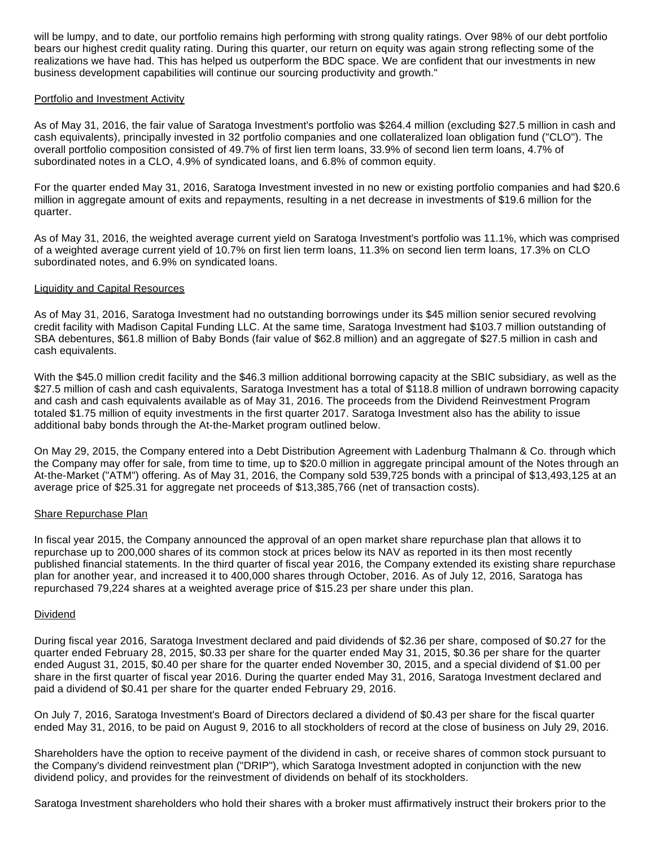will be lumpy, and to date, our portfolio remains high performing with strong quality ratings. Over 98% of our debt portfolio bears our highest credit quality rating. During this quarter, our return on equity was again strong reflecting some of the realizations we have had. This has helped us outperform the BDC space. We are confident that our investments in new business development capabilities will continue our sourcing productivity and growth."

# Portfolio and Investment Activity

As of May 31, 2016, the fair value of Saratoga Investment's portfolio was \$264.4 million (excluding \$27.5 million in cash and cash equivalents), principally invested in 32 portfolio companies and one collateralized loan obligation fund ("CLO"). The overall portfolio composition consisted of 49.7% of first lien term loans, 33.9% of second lien term loans, 4.7% of subordinated notes in a CLO, 4.9% of syndicated loans, and 6.8% of common equity.

For the quarter ended May 31, 2016, Saratoga Investment invested in no new or existing portfolio companies and had \$20.6 million in aggregate amount of exits and repayments, resulting in a net decrease in investments of \$19.6 million for the quarter.

As of May 31, 2016, the weighted average current yield on Saratoga Investment's portfolio was 11.1%, which was comprised of a weighted average current yield of 10.7% on first lien term loans, 11.3% on second lien term loans, 17.3% on CLO subordinated notes, and 6.9% on syndicated loans.

# Liquidity and Capital Resources

As of May 31, 2016, Saratoga Investment had no outstanding borrowings under its \$45 million senior secured revolving credit facility with Madison Capital Funding LLC. At the same time, Saratoga Investment had \$103.7 million outstanding of SBA debentures, \$61.8 million of Baby Bonds (fair value of \$62.8 million) and an aggregate of \$27.5 million in cash and cash equivalents.

With the \$45.0 million credit facility and the \$46.3 million additional borrowing capacity at the SBIC subsidiary, as well as the \$27.5 million of cash and cash equivalents, Saratoga Investment has a total of \$118.8 million of undrawn borrowing capacity and cash and cash equivalents available as of May 31, 2016. The proceeds from the Dividend Reinvestment Program totaled \$1.75 million of equity investments in the first quarter 2017. Saratoga Investment also has the ability to issue additional baby bonds through the At-the-Market program outlined below.

On May 29, 2015, the Company entered into a Debt Distribution Agreement with Ladenburg Thalmann & Co. through which the Company may offer for sale, from time to time, up to \$20.0 million in aggregate principal amount of the Notes through an At-the-Market ("ATM") offering. As of May 31, 2016, the Company sold 539,725 bonds with a principal of \$13,493,125 at an average price of \$25.31 for aggregate net proceeds of \$13,385,766 (net of transaction costs).

# Share Repurchase Plan

In fiscal year 2015, the Company announced the approval of an open market share repurchase plan that allows it to repurchase up to 200,000 shares of its common stock at prices below its NAV as reported in its then most recently published financial statements. In the third quarter of fiscal year 2016, the Company extended its existing share repurchase plan for another year, and increased it to 400,000 shares through October, 2016. As of July 12, 2016, Saratoga has repurchased 79,224 shares at a weighted average price of \$15.23 per share under this plan.

# **Dividend**

During fiscal year 2016, Saratoga Investment declared and paid dividends of \$2.36 per share, composed of \$0.27 for the quarter ended February 28, 2015, \$0.33 per share for the quarter ended May 31, 2015, \$0.36 per share for the quarter ended August 31, 2015, \$0.40 per share for the quarter ended November 30, 2015, and a special dividend of \$1.00 per share in the first quarter of fiscal year 2016. During the quarter ended May 31, 2016, Saratoga Investment declared and paid a dividend of \$0.41 per share for the quarter ended February 29, 2016.

On July 7, 2016, Saratoga Investment's Board of Directors declared a dividend of \$0.43 per share for the fiscal quarter ended May 31, 2016, to be paid on August 9, 2016 to all stockholders of record at the close of business on July 29, 2016.

Shareholders have the option to receive payment of the dividend in cash, or receive shares of common stock pursuant to the Company's dividend reinvestment plan ("DRIP"), which Saratoga Investment adopted in conjunction with the new dividend policy, and provides for the reinvestment of dividends on behalf of its stockholders.

Saratoga Investment shareholders who hold their shares with a broker must affirmatively instruct their brokers prior to the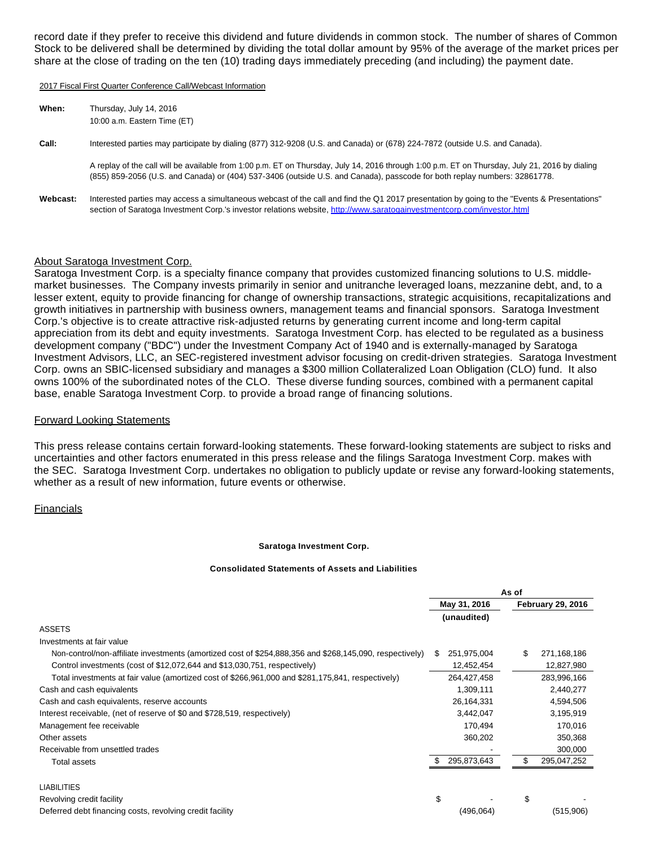record date if they prefer to receive this dividend and future dividends in common stock. The number of shares of Common Stock to be delivered shall be determined by dividing the total dollar amount by 95% of the average of the market prices per share at the close of trading on the ten (10) trading days immediately preceding (and including) the payment date.

2017 Fiscal First Quarter Conference Call/Webcast Information

| When: | Thursday, July 14, 2016      |
|-------|------------------------------|
|       | 10:00 a.m. Eastern Time (ET) |

#### **Call:** Interested parties may participate by dialing (877) 312-9208 (U.S. and Canada) or (678) 224-7872 (outside U.S. and Canada).

A replay of the call will be available from 1:00 p.m. ET on Thursday, July 14, 2016 through 1:00 p.m. ET on Thursday, July 21, 2016 by dialing (855) 859-2056 (U.S. and Canada) or (404) 537-3406 (outside U.S. and Canada), passcode for both replay numbers: 32861778.

Webcast: Interested parties may access a simultaneous webcast of the call and find the Q1 2017 presentation by going to the "Events & Presentations" section of Saratoga Investment Corp.'s investor relations website, <http://www.saratogainvestmentcorp.com/investor.html>

### About Saratoga Investment Corp.

Saratoga Investment Corp. is a specialty finance company that provides customized financing solutions to U.S. middlemarket businesses. The Company invests primarily in senior and unitranche leveraged loans, mezzanine debt, and, to a lesser extent, equity to provide financing for change of ownership transactions, strategic acquisitions, recapitalizations and growth initiatives in partnership with business owners, management teams and financial sponsors. Saratoga Investment Corp.'s objective is to create attractive risk-adjusted returns by generating current income and long-term capital appreciation from its debt and equity investments. Saratoga Investment Corp. has elected to be regulated as a business development company ("BDC") under the Investment Company Act of 1940 and is externally-managed by Saratoga Investment Advisors, LLC, an SEC-registered investment advisor focusing on credit-driven strategies. Saratoga Investment Corp. owns an SBIC-licensed subsidiary and manages a \$300 million Collateralized Loan Obligation (CLO) fund. It also owns 100% of the subordinated notes of the CLO. These diverse funding sources, combined with a permanent capital base, enable Saratoga Investment Corp. to provide a broad range of financing solutions.

#### Forward Looking Statements

This press release contains certain forward-looking statements. These forward-looking statements are subject to risks and uncertainties and other factors enumerated in this press release and the filings Saratoga Investment Corp. makes with the SEC. Saratoga Investment Corp. undertakes no obligation to publicly update or revise any forward-looking statements, whether as a result of new information, future events or otherwise.

### Financials

#### **Saratoga Investment Corp.**

#### **Consolidated Statements of Assets and Liabilities**

|                                                                                                         | As of             |                          |  |
|---------------------------------------------------------------------------------------------------------|-------------------|--------------------------|--|
|                                                                                                         | May 31, 2016      | <b>February 29, 2016</b> |  |
|                                                                                                         | (unaudited)       |                          |  |
| <b>ASSETS</b>                                                                                           |                   |                          |  |
| Investments at fair value                                                                               |                   |                          |  |
| Non-control/non-affiliate investments (amortized cost of \$254,888,356 and \$268,145,090, respectively) | 251,975,004<br>S  | \$<br>271,168,186        |  |
| Control investments (cost of \$12,072,644 and \$13,030,751, respectively)                               | 12,452,454        | 12,827,980               |  |
| Total investments at fair value (amortized cost of \$266,961,000 and \$281,175,841, respectively)       | 264,427,458       | 283,996,166              |  |
| Cash and cash equivalents                                                                               | 1,309,111         | 2,440,277                |  |
| Cash and cash equivalents, reserve accounts                                                             | 26,164,331        | 4,594,506                |  |
| Interest receivable, (net of reserve of \$0 and \$728,519, respectively)                                | 3,442,047         | 3,195,919                |  |
| Management fee receivable                                                                               | 170,494           | 170,016                  |  |
| Other assets                                                                                            | 360,202           | 350,368                  |  |
| Receivable from unsettled trades                                                                        |                   | 300,000                  |  |
| Total assets                                                                                            | 295,873,643<br>£. | 295,047,252              |  |
| <b>LIABILITIES</b>                                                                                      |                   |                          |  |
| Revolving credit facility                                                                               | \$                | \$                       |  |
| Deferred debt financing costs, revolving credit facility                                                | (496, 064)        | (515,906)                |  |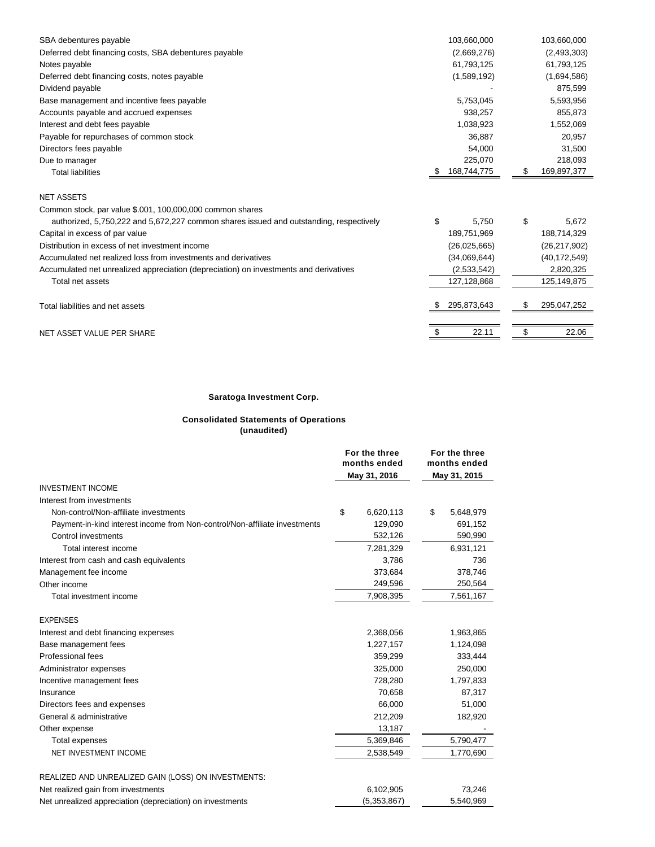| SBA debentures payable                                                                 | 103,660,000      | 103,660,000       |
|----------------------------------------------------------------------------------------|------------------|-------------------|
| Deferred debt financing costs, SBA debentures payable                                  | (2,669,276)      | (2,493,303)       |
| Notes payable                                                                          | 61,793,125       | 61,793,125        |
| Deferred debt financing costs, notes payable                                           | (1,589,192)      | (1,694,586)       |
| Dividend payable                                                                       |                  | 875,599           |
| Base management and incentive fees payable                                             | 5,753,045        | 5,593,956         |
| Accounts payable and accrued expenses                                                  | 938,257          | 855,873           |
| Interest and debt fees payable                                                         | 1,038,923        | 1,552,069         |
| Payable for repurchases of common stock                                                | 36,887           | 20,957            |
| Directors fees payable                                                                 | 54.000           | 31,500            |
| Due to manager                                                                         | 225,070          | 218,093           |
| <b>Total liabilities</b>                                                               | 168,744,775<br>S | \$<br>169,897,377 |
| <b>NET ASSETS</b>                                                                      |                  |                   |
| Common stock, par value \$.001, 100,000,000 common shares                              |                  |                   |
| authorized, 5,750,222 and 5,672,227 common shares issued and outstanding, respectively | \$<br>5,750      | \$<br>5,672       |
| Capital in excess of par value                                                         | 189,751,969      | 188,714,329       |
| Distribution in excess of net investment income                                        | (26,025,665)     | (26, 217, 902)    |
| Accumulated net realized loss from investments and derivatives                         | (34,069,644)     | (40, 172, 549)    |
| Accumulated net unrealized appreciation (depreciation) on investments and derivatives  | (2,533,542)      | 2,820,325         |
| Total net assets                                                                       | 127,128,868      | 125,149,875       |
| Total liabilities and net assets                                                       | 295,873,643      | 295,047,252       |
| NET ASSET VALUE PER SHARE                                                              | 22.11<br>\$      | 22.06<br>\$       |

### **Saratoga Investment Corp.**

#### **Consolidated Statements of Operations (unaudited)**

|                                                                            | For the three<br>months ended<br>May 31, 2016 |             | For the three<br>months ended<br>May 31, 2015 |  |
|----------------------------------------------------------------------------|-----------------------------------------------|-------------|-----------------------------------------------|--|
| <b>INVESTMENT INCOME</b>                                                   |                                               |             |                                               |  |
| Interest from investments                                                  |                                               |             |                                               |  |
| Non-control/Non-affiliate investments                                      | \$                                            | 6,620,113   | \$<br>5,648,979                               |  |
| Payment-in-kind interest income from Non-control/Non-affiliate investments |                                               | 129,090     | 691,152                                       |  |
| Control investments                                                        |                                               | 532,126     | 590,990                                       |  |
| Total interest income                                                      |                                               | 7,281,329   | 6,931,121                                     |  |
| Interest from cash and cash equivalents                                    |                                               | 3,786       | 736                                           |  |
| Management fee income                                                      |                                               | 373,684     | 378,746                                       |  |
| Other income                                                               |                                               | 249,596     | 250,564                                       |  |
| Total investment income                                                    |                                               | 7,908,395   | 7,561,167                                     |  |
| <b>EXPENSES</b>                                                            |                                               |             |                                               |  |
| Interest and debt financing expenses                                       |                                               | 2,368,056   | 1,963,865                                     |  |
| Base management fees                                                       |                                               | 1,227,157   | 1,124,098                                     |  |
| Professional fees                                                          |                                               | 359,299     | 333,444                                       |  |
| Administrator expenses                                                     |                                               | 325,000     | 250,000                                       |  |
| Incentive management fees                                                  |                                               | 728,280     | 1,797,833                                     |  |
| Insurance                                                                  |                                               | 70,658      | 87,317                                        |  |
| Directors fees and expenses                                                |                                               | 66.000      | 51,000                                        |  |
| General & administrative                                                   |                                               | 212,209     | 182,920                                       |  |
| Other expense                                                              |                                               | 13,187      |                                               |  |
| Total expenses                                                             |                                               | 5,369,846   | 5,790,477                                     |  |
| NET INVESTMENT INCOME                                                      |                                               | 2,538,549   | 1,770,690                                     |  |
| REALIZED AND UNREALIZED GAIN (LOSS) ON INVESTMENTS:                        |                                               |             |                                               |  |
| Net realized gain from investments                                         |                                               | 6,102,905   | 73,246                                        |  |
| Net unrealized appreciation (depreciation) on investments                  |                                               | (5,353,867) | 5,540,969                                     |  |